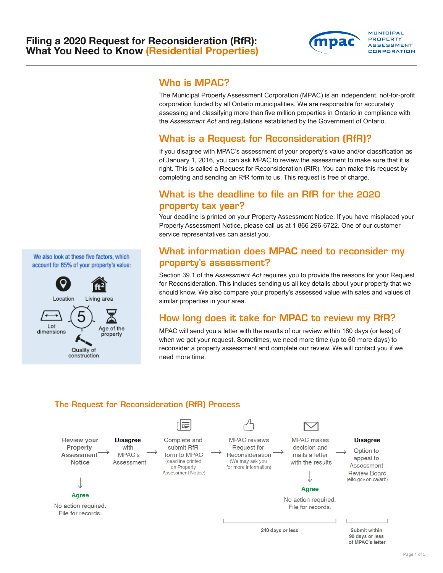

### Who is MPAC?

The Municipal Property Assessment Corporation (MPAC) is an independent, not-for-profit corporation funded by all Ontario municipalities. We are responsible for accurately assessing and classifying more than five million properties in Ontario in compliance with the *Assessment Act* and regulations established by the Government of Ontario.

## What is a Request for Reconsideration (RfR)?

If you disagree with MPAC's assessment of your property's value and/or classification as of January 1, 2016, you can ask MPAC to review the assessment to make sure that it is right. This is called a Request for Reconsideration (RfR). You can make this request by completing and sending an RfR form to us. This request is free of charge.

## What is the deadline to file an RfR for the 2020 property tax year?

Your deadline is printed on your Property Assessment Notice. If you have misplaced your Property Assessment Notice, please call us at 1 866 296-6722. One of our customer service representatives can assist you.

## What information does MPAC need to reconsider my property's assessment?

Section 39.1 of the *Assessment Act* requires you to provide the reasons for your Request for Reconsideration. This includes sending us all key details about your property that we should know. We also compare your property's assessed value with sales and values of similar properties in your area.

## How long does it take for MPAC to review my RfR?

MPAC will send you a letter with the results of our review within 180 days (or less) of when we get your request. Sometimes, we need more time (up to 60 more days) to reconsider a property assessment and complete our review. We will contact you if we need more time.

# The Request for Reconsideration (RfR) Process



We also look at these five factors, which account for 85% of your property's value:

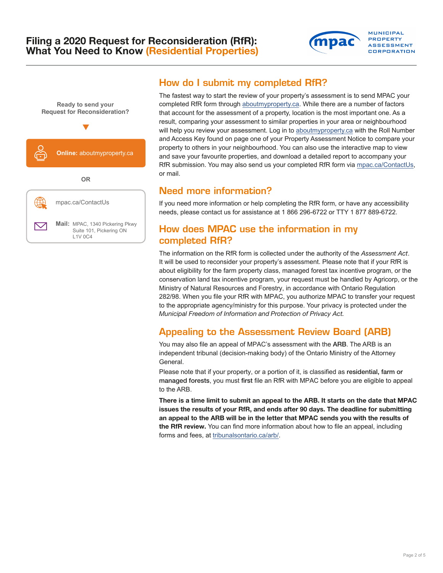### Filing a **2020** Request for Reconsideration (RfR): What You Need to Know (Residential Properties)



## How do I submit my completed RfR?

The fastest way to start the review of your property's assessment is to send MPAC your completed RfR form through [aboutmyproperty.ca.](http://www.aboutmyproperty.ca) While there are a number of factors that account for the assessment of a property, location is the most important one. As a result, comparing your assessment to similar properties in your area or neighbourhood will help you review your assessment. Log in to [aboutmyproperty.ca](http://www.aboutmyproperty.ca) with the Roll Number and Access Key found on page one of your Property Assessment Notice to compare your property to others in your neighbourhood. You can also use the interactive map to view and save your favourite properties, and download a detailed report to accompany your RfR submission. You may also send us your completed RfR form via [mpac.ca/ContactUs,](https://www.mpac.ca/Contactus) or mail.

**MUNICIPAL PROPERTY ASSESSMENT** CORPORATION

### Need more information?

If you need more information or help completing the RfR form, or have any accessibility needs, please contact us for assistance at 1 866 296-6722 or TTY 1 877 889-6722.

### How does MPAC use the information in my completed RfR?

The information on the RfR form is collected under the authority of the *Assessment Act*. It will be used to reconsider your property's assessment. Please note that if your RfR is about eligibility for the farm property class, managed forest tax incentive program, or the conservation land tax incentive program, your request must be handled by Agricorp, or the Ministry of Natural Resources and Forestry, in accordance with Ontario Regulation 282/98. When you file your RfR with MPAC, you authorize MPAC to transfer your request to the appropriate agency/ministry for this purpose. Your privacy is protected under the *Municipal Freedom of Information and Protection of Privacy Act.* 

## Appealing to the Assessment Review Board (ARB)

You may also file an appeal of MPAC's assessment with the ARB. The ARB is an independent tribunal (decision-making body) of the Ontario Ministry of the Attorney General.

Please note that if your property, or a portion of it, is classified as residential, farm or managed forests, you must first file an RfR with MPAC before you are eligible to appeal to the ARB.

There is a time limit to submit an appeal to the ARB. It starts on the date that MPAC issues the results of your RfR, and ends after 90 days. The deadline for submitting an appeal to the ARB will be in the letter that MPAC sends you with the results of the RfR review. You can find more information about how to file an appeal, including forms and fees, at [tribunalsontario.ca/arb/](https://arb.gov.on.ca/).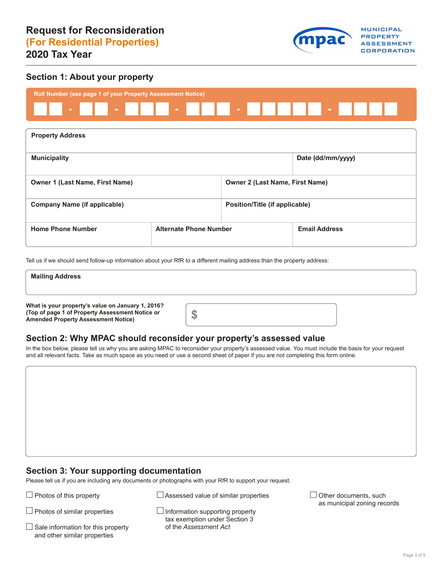

### **Section 1: About your property**



| <b>Property Address</b>                |                               |                                        |                      |  |  |
|----------------------------------------|-------------------------------|----------------------------------------|----------------------|--|--|
| <b>Municipality</b>                    |                               |                                        | Date (dd/mm/yyyy)    |  |  |
| <b>Owner 1 (Last Name, First Name)</b> |                               | <b>Owner 2 (Last Name, First Name)</b> |                      |  |  |
| <b>Company Name (if applicable)</b>    |                               | Position/Title (if applicable)         |                      |  |  |
| <b>Home Phone Number</b>               | <b>Alternate Phone Number</b> |                                        | <b>Email Address</b> |  |  |

Tell us if we should send follow-up information about your RfR to a different mailing address than the property address:

| <b>Mailing Address</b>                                                                               |  |
|------------------------------------------------------------------------------------------------------|--|
|                                                                                                      |  |
| What is your property's value on January 1, 2016?<br>(Top of page 1 of Property Assessment Notice or |  |

### **Section 2: Why MPAC should reconsider your property's assessed value**

In the box below, please tell us why you are asking MPAC to reconsider your property's assessed value. You must include the basis for your request and all relevant facts. Take as much space as you need or use a second sheet of paper if you are not completing this form online.

### **Section 3: Your supporting documentation**

Please tell us if you are including any documents or photographs with your RfR to support your request.

Photos of this property  $\Box$  Assessed value of similar properties  $\Box$  Other documents, such

Sale information for this property of the *Assessment Act* and other similar properties and other similar properties<br>Page 3 of 5

**Amended Property Assessment Notice)** 

 $\Box$  Photos of similar properties  $\Box$  Information supporting property tax exemption under Section 3

as municipal zoning records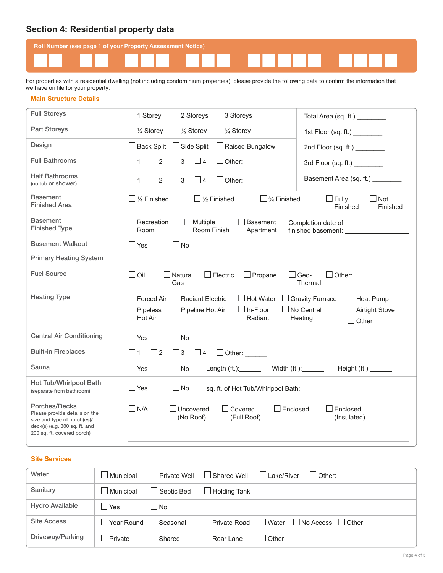### **Section 4: Residential property data**

| <b>Roll Number (see page 1 of your Property Assessment Notice)</b> |  |  |  |
|--------------------------------------------------------------------|--|--|--|
|                                                                    |  |  |  |

For properties with a residential dwelling (not including condominium properties), please provide the following data to confirm the information that we have on file for your property.

#### **Main Structure Details**

| <b>Full Storeys</b>                                                                                                                          | $\Box$ 1 Storey<br>$\Box$ 2 Storeys<br>$\Box$ 3 Storeys<br>Total Area (sq. ft.) _________                                                                                                                                                                                                                                            |
|----------------------------------------------------------------------------------------------------------------------------------------------|--------------------------------------------------------------------------------------------------------------------------------------------------------------------------------------------------------------------------------------------------------------------------------------------------------------------------------------|
| Part Storeys                                                                                                                                 | $\Box$ 1/4 Storey<br>$\Box$ 1/2 Storey<br>$\Box$ 3/4 Storey<br>1st Floor (sq. ft.) ________                                                                                                                                                                                                                                          |
| Design                                                                                                                                       | $\Box$ Back Split<br>$\Box$ Side Split<br>$\Box$ Raised Bungalow<br>2nd Floor (sq. ft.) _________                                                                                                                                                                                                                                    |
| <b>Full Bathrooms</b>                                                                                                                        | $\Box$ 2<br>$\Box$ 1<br>$\Box$ 3<br>$\Box$ 4<br>$\Box$ Other:<br>3rd Floor (sq. ft.) ________                                                                                                                                                                                                                                        |
| <b>Half Bathrooms</b><br>(no tub or shower)                                                                                                  | Basement Area (sq. ft.) ________<br>$\Box$ 1<br>$\Box$ 2<br>$\Box$ 3<br>$\overline{\phantom{0}}$ 4<br>$\Box$ Other: $\_\_$                                                                                                                                                                                                           |
| Basement<br><b>Finished Area</b>                                                                                                             | $\Box$ 1/2 Finished<br>$\Box$ 3/4 Finished<br>$\Box$ $\%$ Finished<br>$\Box$ Fully<br>$\Box$ Not<br>Finished<br>Finished                                                                                                                                                                                                             |
| Basement<br><b>Finished Type</b>                                                                                                             | $\Box$ Recreation<br>$\Box$ Multiple<br>$\Box$ Basement<br>Completion date of<br>Room<br>Room Finish<br>Apartment<br>finished basement:                                                                                                                                                                                              |
| <b>Basement Walkout</b>                                                                                                                      | $\square$ No<br>$\Box$ Yes                                                                                                                                                                                                                                                                                                           |
| <b>Primary Heating System</b>                                                                                                                |                                                                                                                                                                                                                                                                                                                                      |
| <b>Fuel Source</b>                                                                                                                           | $\Box$ Oil<br>$\Box$ Natural<br>$\Box$ Electric<br>$\Box$ Propane<br>$\Box$ Geo-<br>Other: and the contract of the contract of the contract of the contract of the contract of the contract of the contract of the contract of the contract of the contract of the contract of the contract of the contract of the<br>Thermal<br>Gas |
| <b>Heating Type</b>                                                                                                                          | $\Box$ Forced Air<br>$\Box$ Radiant Electric<br>$\Box$ Hot Water<br><b>Gravity Furnace</b><br>$\Box$ Heat Pump                                                                                                                                                                                                                       |
|                                                                                                                                              | $\Box$ In-Floor<br>No Central<br>$\Box$ Airtight Stove<br>$\Box$ Pipeless<br>$\Box$ Pipeline Hot Air<br>Hot Air<br>Radiant<br>Heating<br>$\Box$ Other $\_\_\_\_\_\_\_\_\_\_\_\_$                                                                                                                                                     |
| <b>Central Air Conditioning</b>                                                                                                              | $\Box$ Yes<br>$\Box$ No                                                                                                                                                                                                                                                                                                              |
| <b>Built-in Fireplaces</b>                                                                                                                   | $\square$ 2<br>$\Box$ 3<br>$\vert$ 1<br>$\Box$ 4<br>$\Box$ Other:                                                                                                                                                                                                                                                                    |
| Sauna                                                                                                                                        | $\Box$ Yes<br>$\Box$ No<br>Length (ft.): Width (ft.): _______<br>Height (ft.):______                                                                                                                                                                                                                                                 |
| Hot Tub/Whirlpool Bath<br>(separate from bathroom)                                                                                           | $\Box$ Yes<br>$\Box$ No                                                                                                                                                                                                                                                                                                              |
| Porches/Decks<br>Please provide details on the<br>size and type of porch(es)/<br>deck(s) (e.g. 300 sq. ft. and<br>200 sq. ft. covered porch) | $\Box$ N/A<br>$\Box$ Enclosed<br>Enclosed<br>Uncovered<br>Covered<br>(No Roof)<br>(Full Roof)<br>(Insulated)                                                                                                                                                                                                                         |

#### **Site Services**

| Water                  | $\Box$ Municipal | $\Box$ Private Well | $\Box$ Shared Well  | $\Box$ Lake/River<br>Other:                    |
|------------------------|------------------|---------------------|---------------------|------------------------------------------------|
| Sanitary               | $\Box$ Municipal | $\Box$ Septic Bed   | Holding Tank        |                                                |
| <b>Hydro Available</b> | l Yes            | - I No              |                     |                                                |
| <b>Site Access</b>     | Year Round       | Seasonal            | <b>Private Road</b> | $\Box$ No Access $\Box$ Other:<br><b>Water</b> |
| Driveway/Parking       | Private          | Shared              | l Rear Lane         | $\Box$ Other:                                  |